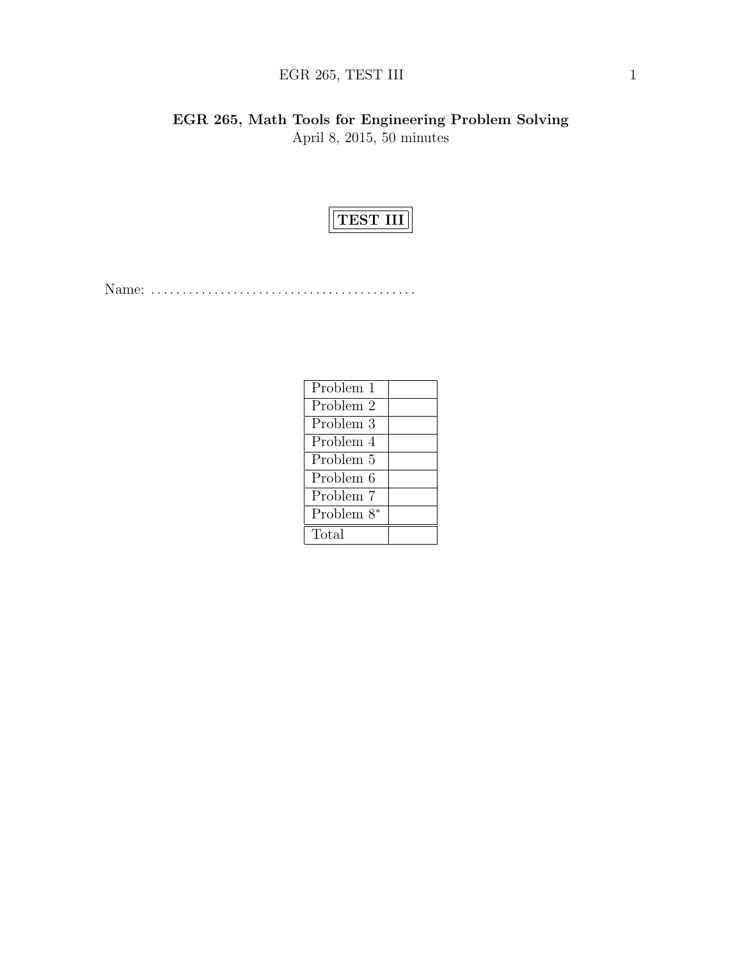# $\rm{EGR}$  265, TEST III 1

EGR 265, Math Tools for Engineering Problem Solving April 8, 2015, 50 minutes



Name: . . . . . . . . . . . . . . . . . . . . . . . . . . . . . . . . . . . . . . . . . .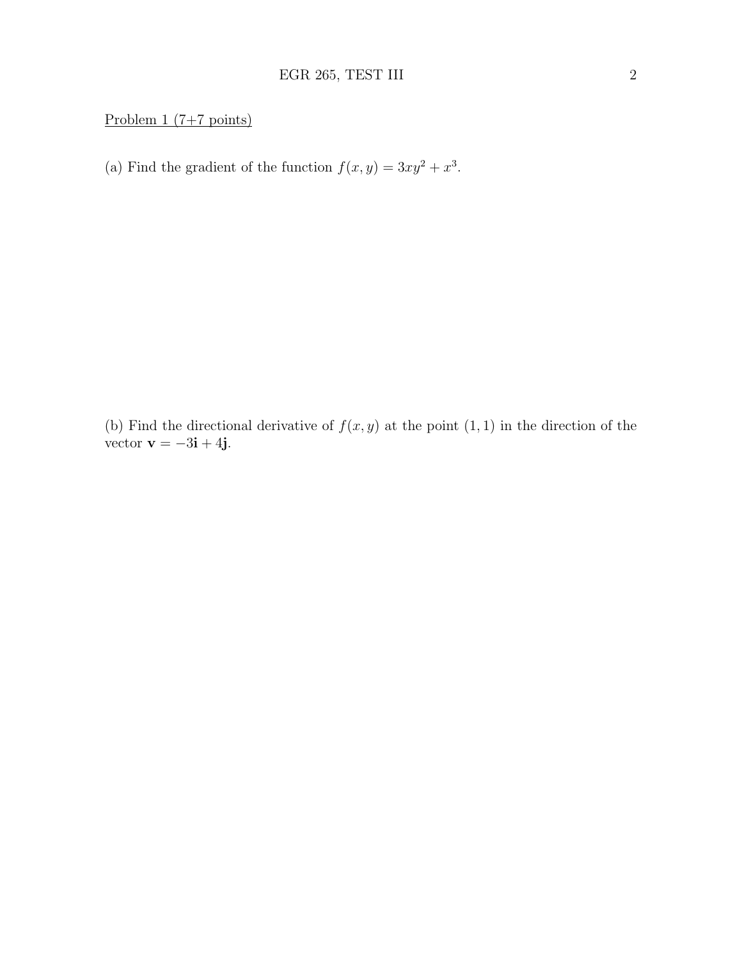## Problem  $1 (7+7 \text{ points})$

(a) Find the gradient of the function  $f(x, y) = 3xy^2 + x^3$ .

(b) Find the directional derivative of  $f(x, y)$  at the point  $(1, 1)$  in the direction of the vector  $\mathbf{v} = -3\mathbf{i} + 4\mathbf{j}$ .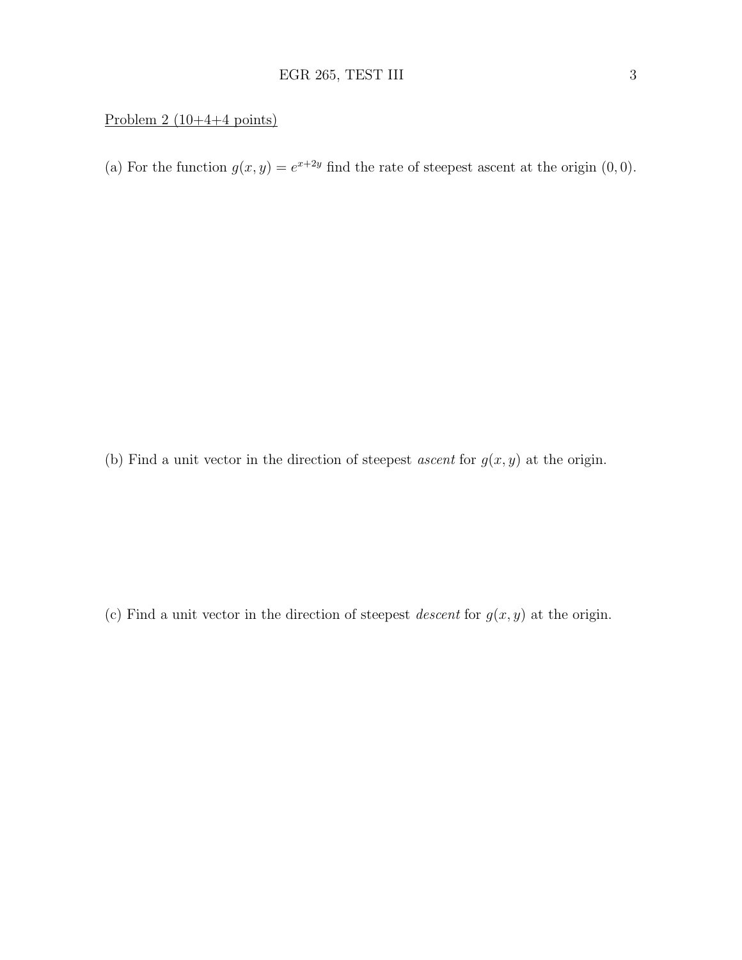### Problem  $2(10+4+4 \text{ points})$

(a) For the function  $g(x, y) = e^{x+2y}$  find the rate of steepest ascent at the origin  $(0, 0)$ .

(b) Find a unit vector in the direction of steepest *ascent* for  $g(x, y)$  at the origin.

(c) Find a unit vector in the direction of steepest *descent* for  $g(x, y)$  at the origin.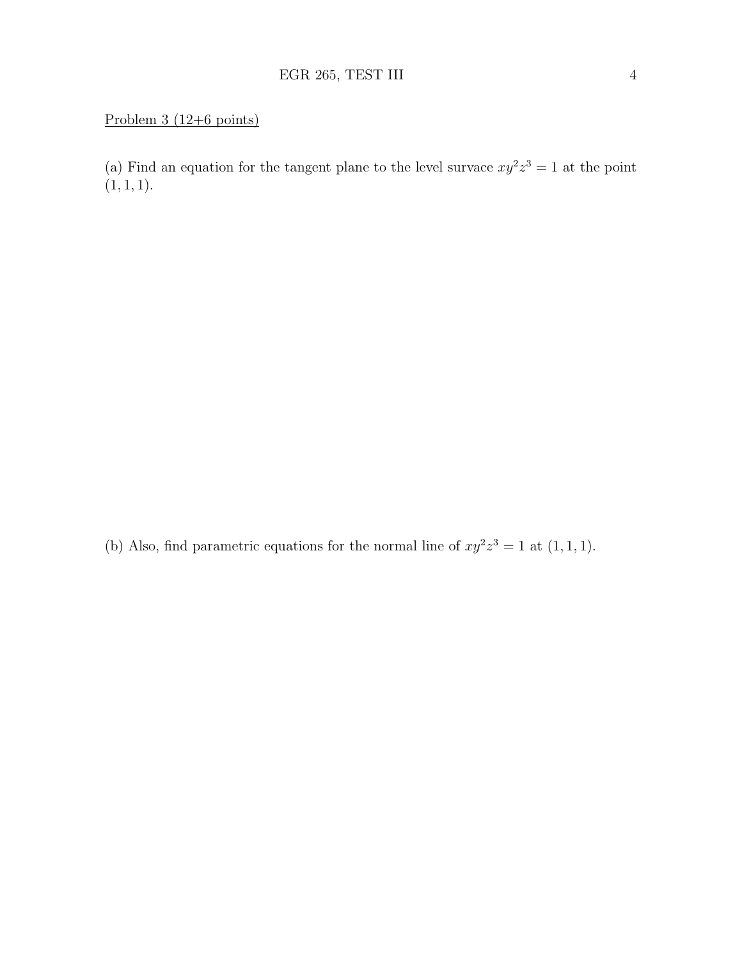### Problem 3 (12+6 points)

(a) Find an equation for the tangent plane to the level survace  $xy^2z^3 = 1$  at the point  $(1, 1, 1).$ 

(b) Also, find parametric equations for the normal line of  $xy^2z^3 = 1$  at  $(1,1,1)$ .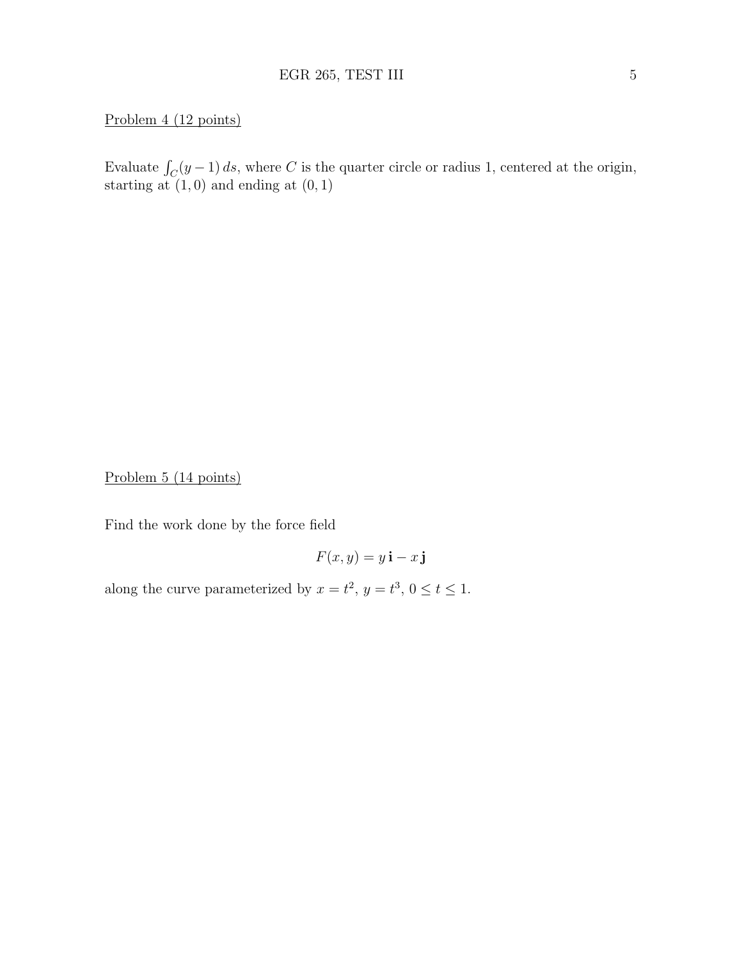### Problem 4 (12 points)

Evaluate  $\int_C (y-1) ds$ , where C is the quarter circle or radius 1, centered at the origin, starting at  $(1, 0)$  and ending at  $(0, 1)$ 

Problem 5 (14 points)

Find the work done by the force field

$$
F(x,y) = y\,\mathbf{i} - x\,\mathbf{j}
$$

along the curve parameterized by  $x = t^2$ ,  $y = t^3$ ,  $0 \le t \le 1$ .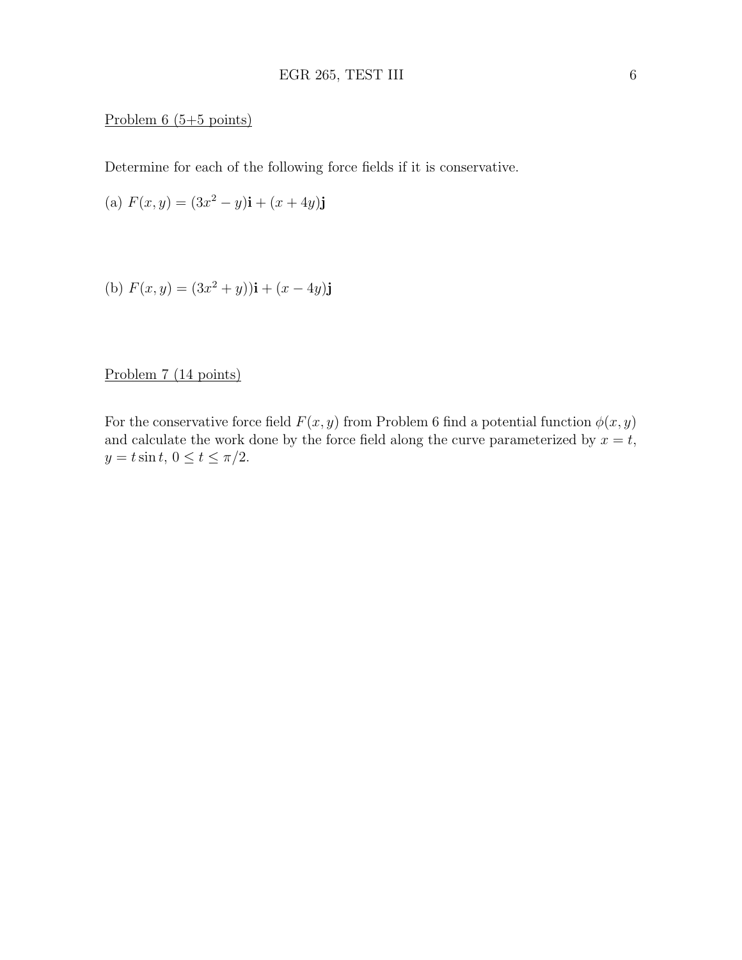#### Problem 6 (5+5 points)

Determine for each of the following force fields if it is conservative.

(a) 
$$
F(x, y) = (3x^2 - y)\mathbf{i} + (x + 4y)\mathbf{j}
$$

(b) 
$$
F(x, y) = (3x^2 + y)\mathbf{i} + (x - 4y)\mathbf{j}
$$

### Problem 7 (14 points)

For the conservative force field  $F(x, y)$  from Problem 6 find a potential function  $\phi(x, y)$ and calculate the work done by the force field along the curve parameterized by  $x = t$ ,  $y = t \sin t$ ,  $0 \le t \le \pi/2$ .